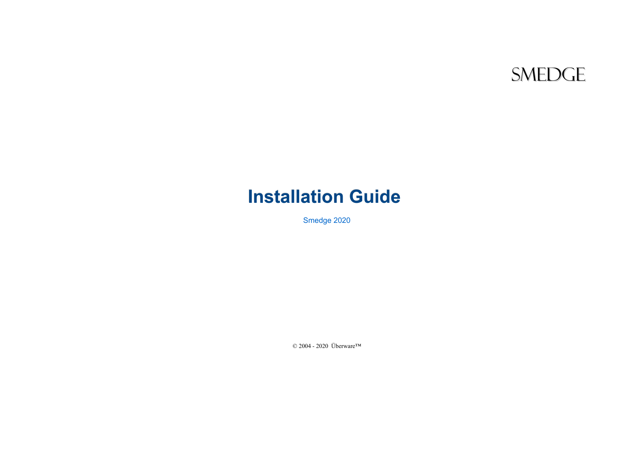# **SMEDGE**

# **Installation Guide**

Smedge 2020

© 2004 - 2020 Überware™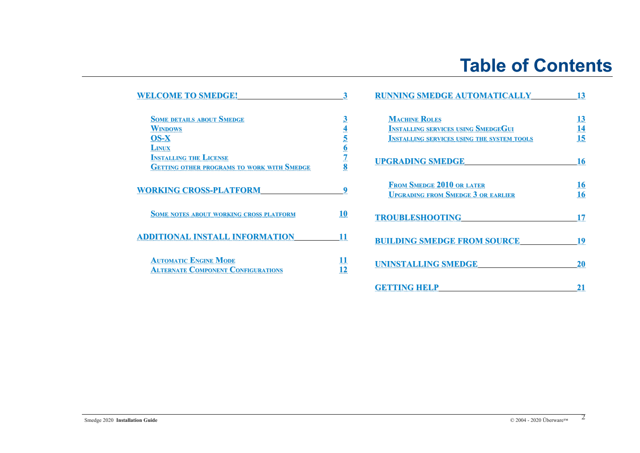# **Table of Contents**

| <b>WELCOME TO SMEDGE!</b>                         | 3               | <b>RUNNING SMEDGE AUTOMATICALLY</b>               | 13              |  |
|---------------------------------------------------|-----------------|---------------------------------------------------|-----------------|--|
| <b>SOME DETAILS ABOUT SMEDGE</b>                  | $\mathbf{3}$    | <b>MACHINE ROLES</b>                              | 13              |  |
| <b>WINDOWS</b>                                    | 4               | <b>INSTALLING SERVICES USING SMEDGEGUI</b>        | 14              |  |
| <b>OS-X</b>                                       |                 | <b>INSTALLING SERVICES USING THE SYSTEM TOOLS</b> | 15              |  |
| <b>LINUX</b>                                      | <u>6</u>        |                                                   |                 |  |
| <b>INSTALLING THE LICENSE</b>                     |                 | <b>UPGRADING SMEDGE</b>                           | 16              |  |
| <b>GETTING OTHER PROGRAMS TO WORK WITH SMEDGE</b> | 8               |                                                   |                 |  |
| <b>WORKING CROSS-PLATFORM</b>                     | q               | <b>FROM SMEDGE 2010 OR LATER</b>                  | <b>16</b><br>16 |  |
|                                                   |                 | <b>UPGRADING FROM SMEDGE 3 OR EARLIER</b>         |                 |  |
| <b>SOME NOTES ABOUT WORKING CROSS PLATFORM</b>    | 10              | <b>TROUBLESHOOTING</b>                            | 17              |  |
| <b>ADDITIONAL INSTALL INFORMATION</b>             | 11              |                                                   |                 |  |
|                                                   |                 | <b>BUILDING SMEDGE FROM SOURCE</b>                | 19              |  |
| <b>AUTOMATIC ENGINE MODE</b>                      | $\overline{11}$ | <b>UNINSTALLING SMEDGE</b>                        | <b>20</b>       |  |
| <b>ALTERNATE COMPONENT CONFIGURATIONS</b>         | 12              |                                                   |                 |  |
|                                                   |                 | <b>GETTING HELP</b>                               | 21              |  |
|                                                   |                 |                                                   |                 |  |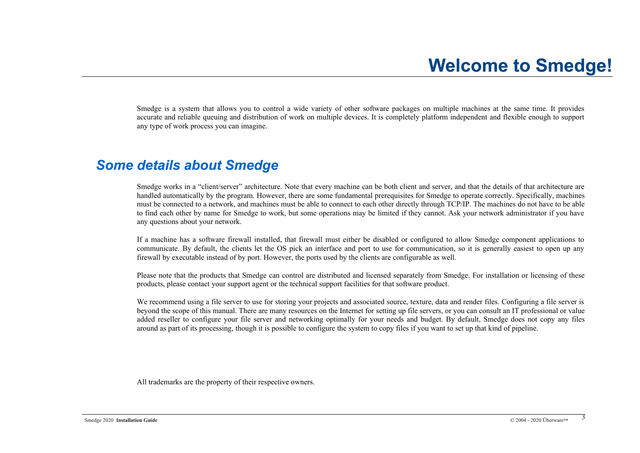<span id="page-2-0"></span>Smedge is a system that allows you to control a wide variety of other software packages on multiple machines at the same time. It provides accurate and reliable queuing and distribution of work on multiple devices. It is completely platform independent and flexible enough to support any type of work process you can imagine.

## <span id="page-2-1"></span>*Some details about Smedge*

Smedge works in a "client/server" architecture. Note that every machine can be both client and server, and that the details of that architecture are handled automatically by the program. However, there are some fundamental prerequisites for Smedge to operate correctly. Specifically, machines must be connected to a network, and machines must be able to connect to each other directly through TCP/IP. The machines do not have to be able to find each other by name for Smedge to work, but some operations may be limited if they cannot. Ask your network administrator if you have any questions about your network.

If a machine has a software firewall installed, that firewall must either be disabled or configured to allow Smedge component applications to communicate. By default, the clients let the OS pick an interface and port to use for communication, so it is generally easiest to open up any firewall by executable instead of by port. However, the ports used by the clients are configurable as well.

Please note that the products that Smedge can control are distributed and licensed separately from Smedge. For installation or licensing of these products, please contact your support agent or the technical support facilities for that software product.

We recommend using a file server to use for storing your projects and associated source, texture, data and render files. Configuring a file server is beyond the scope of this manual. There are many resources on the Internet for setting up file servers, or you can consult an IT professional or value added reseller to configure your file server and networking optimally for your needs and budget. By default, Smedge does not copy any files around as part of its processing, though it is possible to configure the system to copy files if you want to set up that kind of pipeline.

All trademarks are the property of their respective owners.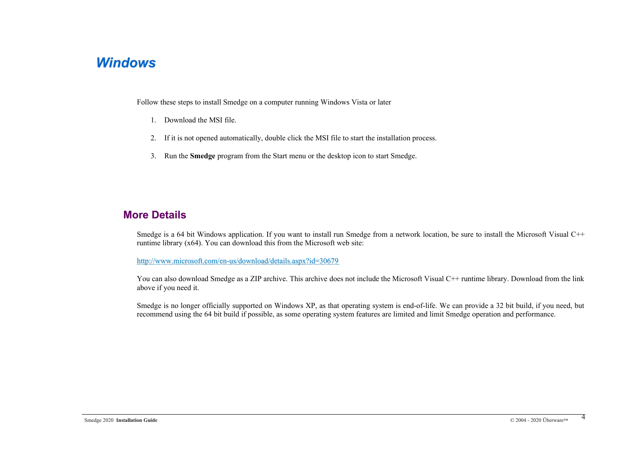## <span id="page-3-0"></span>*Windows*

Follow these steps to install Smedge on a computer running Windows Vista or later

- 1. Download the MSI file.
- 2. If it is not opened automatically, double click the MSI file to start the installation process.
- 3. Run the **Smedge** program from the Start menu or the desktop icon to start Smedge.

## **More Details**

Smedge is a 64 bit Windows application. If you want to install run Smedge from a network location, be sure to install the Microsoft Visual C++ runtime library (x64). You can download this from the Microsoft web site:

<http://www.microsoft.com/en-us/download/details.aspx?id=30679>

You can also download Smedge as a ZIP archive. This archive does not include the Microsoft Visual C++ runtime library. Download from the link above if you need it.

Smedge is no longer officially supported on Windows XP, as that operating system is end-of-life. We can provide a 32 bit build, if you need, but recommend using the 64 bit build if possible, as some operating system features are limited and limit Smedge operation and performance.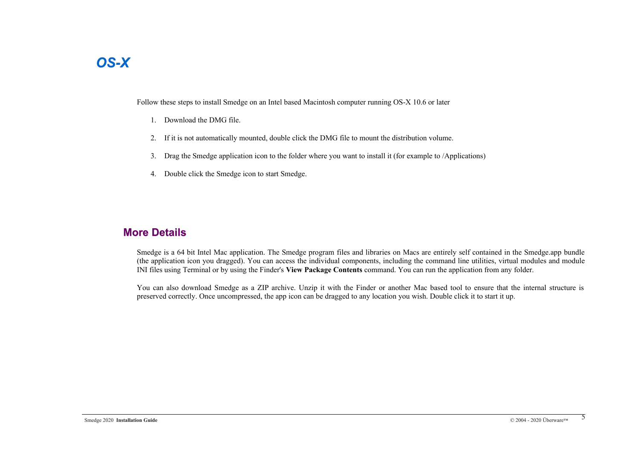# <span id="page-4-0"></span>*OS-X*

Follow these steps to install Smedge on an Intel based Macintosh computer running OS-X 10.6 or later

- 1. Download the DMG file.
- 2. If it is not automatically mounted, double click the DMG file to mount the distribution volume.
- 3. Drag the Smedge application icon to the folder where you want to install it (for example to /Applications)
- 4. Double click the Smedge icon to start Smedge.

### **More Details**

Smedge is a 64 bit Intel Mac application. The Smedge program files and libraries on Macs are entirely self contained in the Smedge.app bundle (the application icon you dragged). You can access the individual components, including the command line utilities, virtual modules and module INI files using Terminal or by using the Finder's **View Package Contents** command. You can run the application from any folder.

You can also download Smedge as a ZIP archive. Unzip it with the Finder or another Mac based tool to ensure that the internal structure is preserved correctly. Once uncompressed, the app icon can be dragged to any location you wish. Double click it to start it up.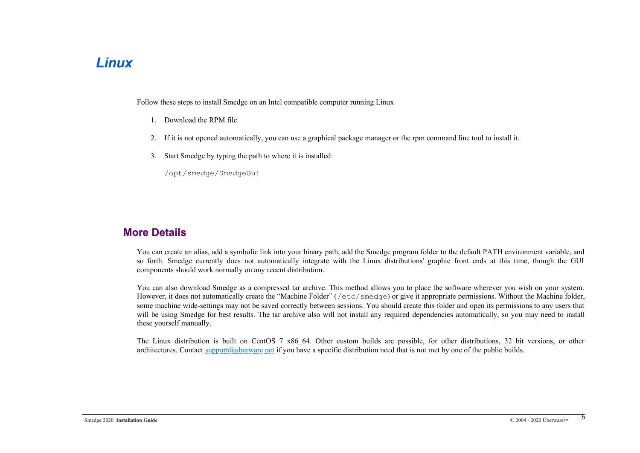## <span id="page-5-0"></span>*Linux*

Follow these steps to install Smedge on an Intel compatible computer running Linux

- 1. Download the RPM file
- 2. If it is not opened automatically, you can use a graphical package manager or the rpm command line tool to install it.
- 3. Start Smedge by typing the path to where it is installed:

/opt/smedge/SmedgeGui

### **More Details**

You can create an alias, add a symbolic link into your binary path, add the Smedge program folder to the default PATH environment variable, and so forth. Smedge currently does not automatically integrate with the Linux distributions' graphic front ends at this time, though the GUI components should work normally on any recent distribution.

You can also download Smedge as a compressed tar archive. This method allows you to place the software wherever you wish on your system. However, it does not automatically create the "Machine Folder" (/etc/smedge) or give it appropriate permissions. Without the Machine folder, some machine wide-settings may not be saved correctly between sessions. You should create this folder and open its permissions to any users that will be using Smedge for best results. The tar archive also will not install any required dependencies automatically, so you may need to install these yourself manually.

The Linux distribution is built on CentOS 7 x86 64. Other custom builds are possible, for other distributions, 32 bit versions, or other architectures. Contact [support@uberware.net](mailto:support@uberware.net) if you have a specific distribution need that is not met by one of the public builds.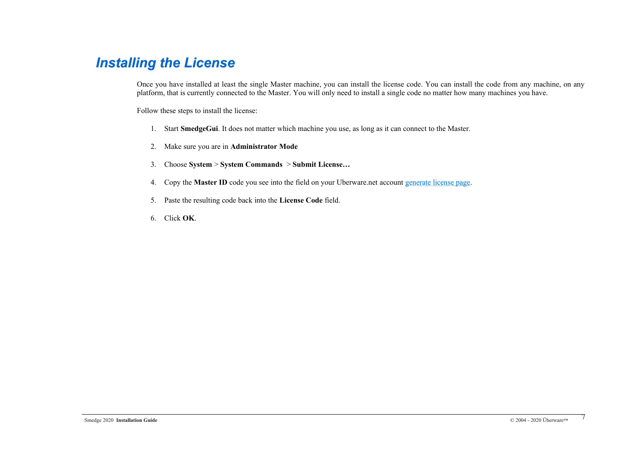# <span id="page-6-0"></span>*Installing the License*

Once you have installed at least the single Master machine, you can install the license code. You can install the code from any machine, on any platform, that is currently connected to the Master. You will only need to install a single code no matter how many machines you have.

Follow these steps to install the license:

- 1. Start **SmedgeGui**. It does not matter which machine you use, as long as it can connect to the Master.
- 2. Make sure you are in **Administrator Mode**
- 3. Choose **System** > **System Commands** > **Submit License…**
- 4. Copy the **Master ID** code you see into the field on your Uberware.net account [generate license page.](http://www.uberware.net/generate_license.php)
- 5. Paste the resulting code back into the **License Code** field.
- 6. Click **OK**.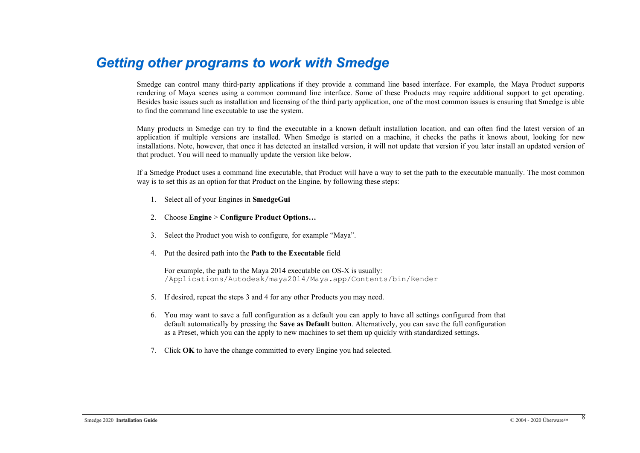## <span id="page-7-0"></span>*Getting other programs to work with Smedge*

Smedge can control many third-party applications if they provide a command line based interface. For example, the Maya Product supports rendering of Maya scenes using a common command line interface. Some of these Products may require additional support to get operating. Besides basic issues such as installation and licensing of the third party application, one of the most common issues is ensuring that Smedge is able to find the command line executable to use the system.

Many products in Smedge can try to find the executable in a known default installation location, and can often find the latest version of an application if multiple versions are installed. When Smedge is started on a machine, it checks the paths it knows about, looking for new installations. Note, however, that once it has detected an installed version, it will not update that version if you later install an updated version of that product. You will need to manually update the version like below.

If a Smedge Product uses a command line executable, that Product will have a way to set the path to the executable manually. The most common way is to set this as an option for that Product on the Engine, by following these steps:

- 1. Select all of your Engines in **SmedgeGui**
- 2. Choose **Engine** > **Configure Product Options…**
- 3. Select the Product you wish to configure, for example "Maya".
- 4. Put the desired path into the **Path to the Executable** field

For example, the path to the Maya 2014 executable on OS-X is usually: /Applications/Autodesk/maya2014/Maya.app/Contents/bin/Render

- 5. If desired, repeat the steps 3 and 4 for any other Products you may need.
- 6. You may want to save a full configuration as a default you can apply to have all settings configured from that default automatically by pressing the **Save as Default** button. Alternatively, you can save the full configuration as a Preset, which you can the apply to new machines to set them up quickly with standardized settings.
- 7. Click **OK** to have the change committed to every Engine you had selected.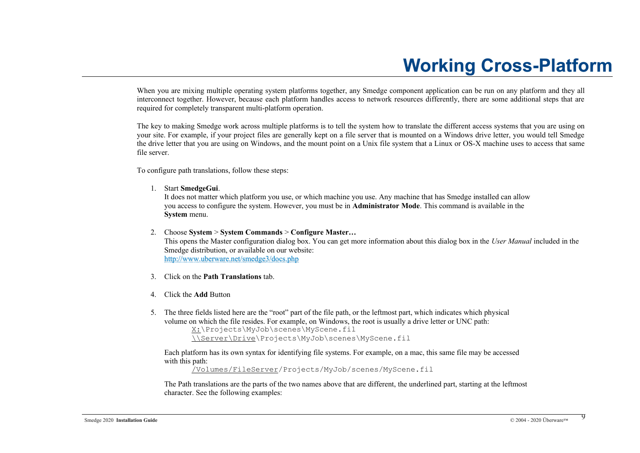# <span id="page-8-0"></span>**Working Cross-Platform**

When you are mixing multiple operating system platforms together, any Smedge component application can be run on any platform and they all interconnect together. However, because each platform handles access to network resources differently, there are some additional steps that are required for completely transparent multi-platform operation.

The key to making Smedge work across multiple platforms is to tell the system how to translate the different access systems that you are using on your site. For example, if your project files are generally kept on a file server that is mounted on a Windows drive letter, you would tell Smedge the drive letter that you are using on Windows, and the mount point on a Unix file system that a Linux or OS-X machine uses to access that same file server.

To configure path translations, follow these steps:

1. Start **SmedgeGui**.

It does not matter which platform you use, or which machine you use. Any machine that has Smedge installed can allow you access to configure the system. However, you must be in **Administrator Mode**. This command is available in the **System** menu.

2. Choose **System** > **System Commands** > **Configure Master…**

This opens the Master configuration dialog box. You can get more information about this dialog box in the *User Manual* included in the Smedge distribution, or available on our website: <http://www.uberware.net/smedge3/docs.php>

- 3. Click on the **Path Translations** tab.
- 4. Click the **Add** Button
- 5. The three fields listed here are the "root" part of the file path, or the leftmost part, which indicates which physical volume on which the file resides. For example, on Windows, the root is usually a drive letter or UNC path:

```
X:\Projects\MyJob\scenes\MyScene.fil
\\Server\Drive\Projects\MyJob\scenes\MyScene.fil
```
Each platform has its own syntax for identifying file systems. For example, on a mac, this same file may be accessed with this path:

/Volumes/FileServer/Projects/MyJob/scenes/MyScene.fil

The Path translations are the parts of the two names above that are different, the underlined part, starting at the leftmost character. See the following examples: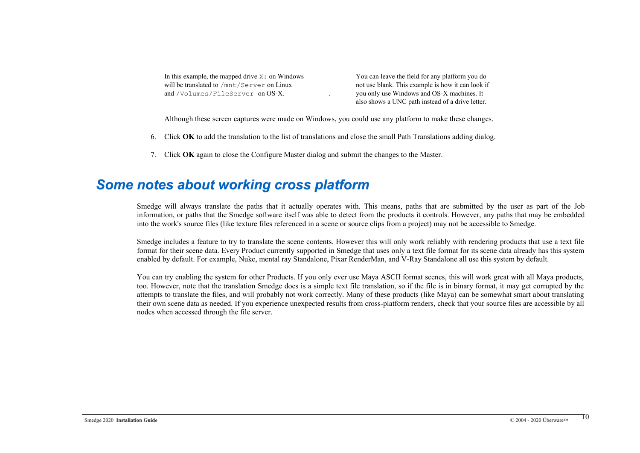| In this example, the mapped drive $X:$ on Windows |
|---------------------------------------------------|
| will be translated to /mnt/Server on Linux        |
| and /Volumes/FileServer on OS-X.                  |

You can leave the field for any platform you do not use blank. This example is how it can look if you only use Windows and OS-X machines. It also shows a UNC path instead of a drive letter.

Although these screen captures were made on Windows, you could use any platform to make these changes.

- 6. Click **OK** to add the translation to the list of translations and close the small Path Translations adding dialog.
- 7. Click **OK** again to close the Configure Master dialog and submit the changes to the Master.

## <span id="page-9-0"></span>*Some notes about working cross platform*

Smedge will always translate the paths that it actually operates with. This means, paths that are submitted by the user as part of the Job information, or paths that the Smedge software itself was able to detect from the products it controls. However, any paths that may be embedded into the work's source files (like texture files referenced in a scene or source clips from a project) may not be accessible to Smedge.

Smedge includes a feature to try to translate the scene contents. However this will only work reliably with rendering products that use a text file format for their scene data. Every Product currently supported in Smedge that uses only a text file format for its scene data already has this system enabled by default. For example, Nuke, mental ray Standalone, Pixar RenderMan, and V-Ray Standalone all use this system by default.

You can try enabling the system for other Products. If you only ever use Maya ASCII format scenes, this will work great with all Maya products, too. However, note that the translation Smedge does is a simple text file translation, so if the file is in binary format, it may get corrupted by the attempts to translate the files, and will probably not work correctly. Many of these products (like Maya) can be somewhat smart about translating their own scene data as needed. If you experience unexpected results from cross-platform renders, check that your source files are accessible by all nodes when accessed through the file server.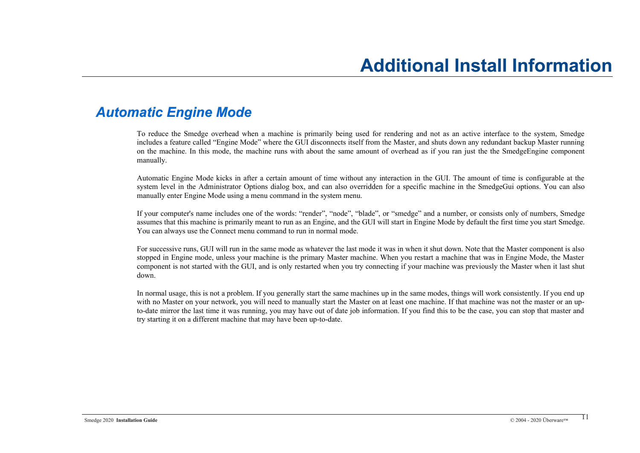## <span id="page-10-0"></span>*Automatic Engine Mode*

<span id="page-10-1"></span>To reduce the Smedge overhead when a machine is primarily being used for rendering and not as an active interface to the system, Smedge includes a feature called "Engine Mode" where the GUI disconnects itself from the Master, and shuts down any redundant backup Master running on the machine. In this mode, the machine runs with about the same amount of overhead as if you ran just the the SmedgeEngine component manually.

Automatic Engine Mode kicks in after a certain amount of time without any interaction in the GUI. The amount of time is configurable at the system level in the Administrator Options dialog box, and can also overridden for a specific machine in the SmedgeGui options. You can also manually enter Engine Mode using a menu command in the system menu.

If your computer's name includes one of the words: "render", "node", "blade", or "smedge" and a number, or consists only of numbers, Smedge assumes that this machine is primarily meant to run as an Engine, and the GUI will start in Engine Mode by default the first time you start Smedge. You can always use the Connect menu command to run in normal mode.

For successive runs, GUI will run in the same mode as whatever the last mode it was in when it shut down. Note that the Master component is also stopped in Engine mode, unless your machine is the primary Master machine. When you restart a machine that was in Engine Mode, the Master component is not started with the GUI, and is only restarted when you try connecting if your machine was previously the Master when it last shut down.

In normal usage, this is not a problem. If you generally start the same machines up in the same modes, things will work consistently. If you end up with no Master on your network, you will need to manually start the Master on at least one machine. If that machine was not the master or an upto-date mirror the last time it was running, you may have out of date job information. If you find this to be the case, you can stop that master and try starting it on a different machine that may have been up-to-date.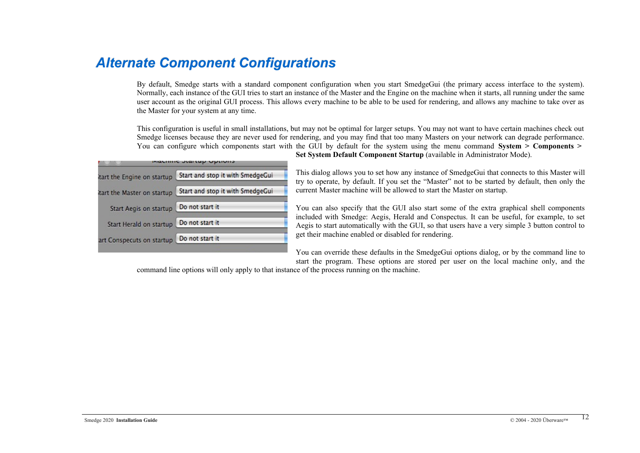# <span id="page-11-0"></span>*Alternate Component Configurations*

By default, Smedge starts with a standard component configuration when you start SmedgeGui (the primary access interface to the system). Normally, each instance of the GUI tries to start an instance of the Master and the Engine on the machine when it starts, all running under the same user account as the original GUI process. This allows every machine to be able to be used for rendering, and allows any machine to take over as the Master for your system at any time.

This configuration is useful in small installations, but may not be optimal for larger setups. You may not want to have certain machines check out Smedge licenses because they are never used for rendering, and you may find that too many Masters on your network can degrade performance. You can configure which components start with the GUI by default for the system using the menu command **System > Components >** 

|                             | <b>Machine Startup Options</b> |                                  |
|-----------------------------|--------------------------------|----------------------------------|
| itart the Engine on startup |                                | Start and stop it with SmedgeGui |
| itart the Master on startup |                                | Start and stop it with SmedgeGui |
| Start Aegis on startup      |                                | Do not start it                  |
| Start Herald on startup     |                                | Do not start it                  |
| art Conspecuts on startup   |                                | Do not start it                  |
|                             |                                |                                  |

**Set System Default Component Startup** (available in Administrator Mode).

This dialog allows you to set how any instance of SmedgeGui that connects to this Master will try to operate, by default. If you set the "Master" not to be started by default, then only the current Master machine will be allowed to start the Master on startup.

You can also specify that the GUI also start some of the extra graphical shell components included with Smedge: Aegis, Herald and Conspectus. It can be useful, for example, to set Aegis to start automatically with the GUI, so that users have a very simple 3 button control to get their machine enabled or disabled for rendering.

You can override these defaults in the SmedgeGui options dialog, or by the command line to start the program. These options are stored per user on the local machine only, and the

command line options will only apply to that instance of the process running on the machine.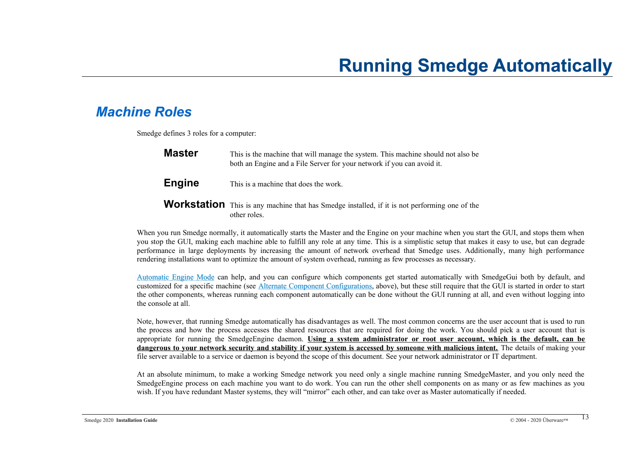# <span id="page-12-1"></span>**Running Smedge Automatically**

# <span id="page-12-0"></span>*Machine Roles*

Smedge defines 3 roles for a computer:

| <b>Master</b> | This is the machine that will manage the system. This machine should not also be<br>both an Engine and a File Server for your network if you can avoid it. |  |
|---------------|------------------------------------------------------------------------------------------------------------------------------------------------------------|--|
| <b>Engine</b> | This is a machine that does the work.                                                                                                                      |  |
|               | <b>Morketation</b> This is an modified that he Smaller installed if it is not markemaine and of the                                                        |  |

**Workstation** This is any machine that has Smedge installed, if it is not performing one of the other roles.

When you run Smedge normally, it automatically starts the Master and the Engine on your machine when you start the GUI, and stops them when you stop the GUI, making each machine able to fulfill any role at any time. This is a simplistic setup that makes it easy to use, but can degrade performance in large deployments by increasing the amount of network overhead that Smedge uses. Additionally, many high performance rendering installations want to optimize the amount of system overhead, running as few processes as necessary.

[Automatic Engine Mode](#page-10-0) can help, and you can configure which components get started automatically with SmedgeGui both by default, and customized for a specific machine (see [Alternate Component Configurations](#page-11-0), above), but these still require that the GUI is started in order to start the other components, whereas running each component automatically can be done without the GUI running at all, and even without logging into the console at all.

Note, however, that running Smedge automatically has disadvantages as well. The most common concerns are the user account that is used to run the process and how the process accesses the shared resources that are required for doing the work. You should pick a user account that is appropriate for running the SmedgeEngine daemon. **Using a system administrator or root user account, which is the default, can be dangerous to your network security and stability if your system is accessed by someone with malicious intent.** The details of making your file server available to a service or daemon is beyond the scope of this document. See your network administrator or IT department.

At an absolute minimum, to make a working Smedge network you need only a single machine running SmedgeMaster, and you only need the SmedgeEngine process on each machine you want to do work. You can run the other shell components on as many or as few machines as you wish. If you have redundant Master systems, they will "mirror" each other, and can take over as Master automatically if needed.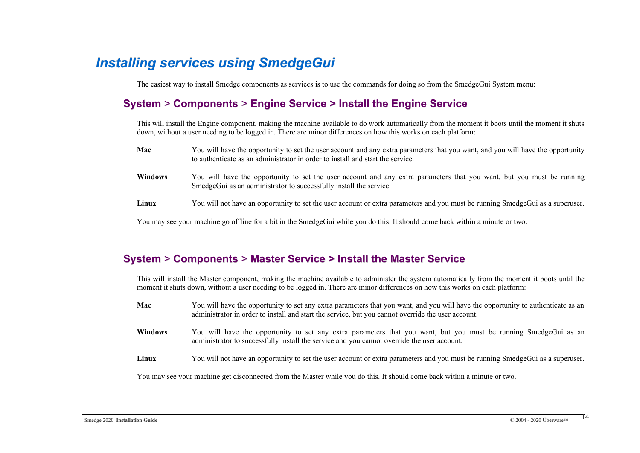# <span id="page-13-0"></span>*Installing services using SmedgeGui*

The easiest way to install Smedge components as services is to use the commands for doing so from the SmedgeGui System menu:

## **System** > **Components** > **Engine Service > Install the Engine Service**

This will install the Engine component, making the machine available to do work automatically from the moment it boots until the moment it shuts down, without a user needing to be logged in. There are minor differences on how this works on each platform:

| Mac            | You will have the opportunity to set the user account and any extra parameters that you want, and you will have the opportunity<br>to authenticate as an administrator in order to install and start the service. |  |
|----------------|-------------------------------------------------------------------------------------------------------------------------------------------------------------------------------------------------------------------|--|
| <b>Windows</b> | You will have the opportunity to set the user account and any extra parameters that you want, but you must be running<br>SmedgeGui as an administrator to successfully install the service.                       |  |
| Linux          | You will not have an opportunity to set the user account or extra parameters and you must be running SmedgeGui as a superuser.                                                                                    |  |

You may see your machine go offline for a bit in the SmedgeGui while you do this. It should come back within a minute or two.

### **System** > **Components** > **Master Service > Install the Master Service**

This will install the Master component, making the machine available to administer the system automatically from the moment it boots until the moment it shuts down, without a user needing to be logged in. There are minor differences on how this works on each platform:

**Mac** You will have the opportunity to set any extra parameters that you want, and you will have the opportunity to authenticate as an administrator in order to install and start the service, but you cannot override the user account. **Windows** You will have the opportunity to set any extra parameters that you want, but you must be running SmedgeGui as an administrator to successfully install the service and you cannot override the user account. Linux You will not have an opportunity to set the user account or extra parameters and you must be running SmedgeGui as a superuser.

You may see your machine get disconnected from the Master while you do this. It should come back within a minute or two.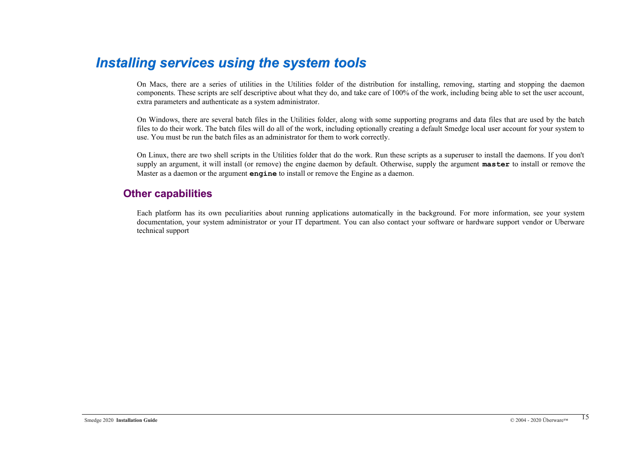## <span id="page-14-0"></span>*Installing services using the system tools*

On Macs, there are a series of utilities in the Utilities folder of the distribution for installing, removing, starting and stopping the daemon components. These scripts are self descriptive about what they do, and take care of 100% of the work, including being able to set the user account, extra parameters and authenticate as a system administrator.

On Windows, there are several batch files in the Utilities folder, along with some supporting programs and data files that are used by the batch files to do their work. The batch files will do all of the work, including optionally creating a default Smedge local user account for your system to use. You must be run the batch files as an administrator for them to work correctly.

On Linux, there are two shell scripts in the Utilities folder that do the work. Run these scripts as a superuser to install the daemons. If you don't supply an argument, it will install (or remove) the engine daemon by default. Otherwise, supply the argument **master** to install or remove the Master as a daemon or the argument **engine** to install or remove the Engine as a daemon.

#### **Other capabilities**

Each platform has its own peculiarities about running applications automatically in the background. For more information, see your system documentation, your system administrator or your IT department. You can also contact your software or hardware support vendor or Uberware technical support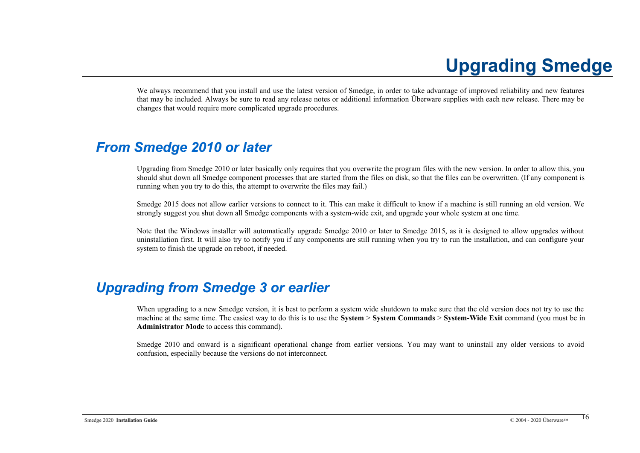# <span id="page-15-2"></span>**Upgrading Smedge**

We always recommend that you install and use the latest version of Smedge, in order to take advantage of improved reliability and new features that may be included. Always be sure to read any release notes or additional information Überware supplies with each new release. There may be changes that would require more complicated upgrade procedures.

# <span id="page-15-1"></span>*From Smedge 2010 or later*

Upgrading from Smedge 2010 or later basically only requires that you overwrite the program files with the new version. In order to allow this, you should shut down all Smedge component processes that are started from the files on disk, so that the files can be overwritten. (If any component is running when you try to do this, the attempt to overwrite the files may fail.)

Smedge 2015 does not allow earlier versions to connect to it. This can make it difficult to know if a machine is still running an old version. We strongly suggest you shut down all Smedge components with a system-wide exit, and upgrade your whole system at one time.

Note that the Windows installer will automatically upgrade Smedge 2010 or later to Smedge 2015, as it is designed to allow upgrades without uninstallation first. It will also try to notify you if any components are still running when you try to run the installation, and can configure your system to finish the upgrade on reboot, if needed.

# <span id="page-15-0"></span>*Upgrading from Smedge 3 or earlier*

When upgrading to a new Smedge version, it is best to perform a system wide shutdown to make sure that the old version does not try to use the machine at the same time. The easiest way to do this is to use the **System** > **System Commands** > **System-Wide Exit** command (you must be in **Administrator Mode** to access this command).

Smedge 2010 and onward is a significant operational change from earlier versions. You may want to uninstall any older versions to avoid confusion, especially because the versions do not interconnect.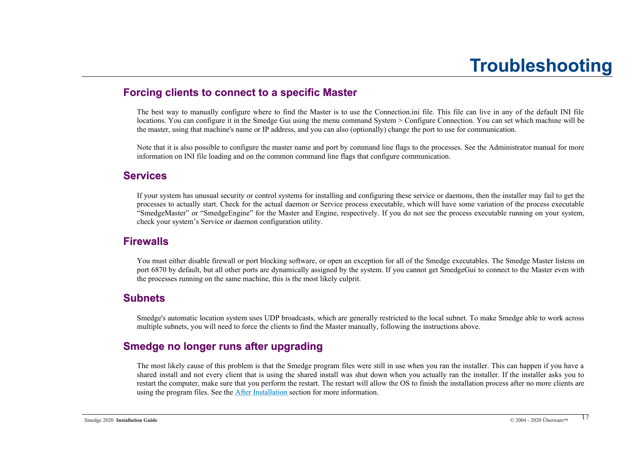## **Forcing clients to connect to a specific Master**

<span id="page-16-0"></span>The best way to manually configure where to find the Master is to use the Connection.ini file. This file can live in any of the default INI file locations. You can configure it in the Smedge Gui using the menu command System > Configure Connection. You can set which machine will be the master, using that machine's name or IP address, and you can also (optionally) change the port to use for communication.

Note that it is also possible to configure the master name and port by command line flags to the processes. See the Administrator manual for more information on INI file loading and on the common command line flags that configure communication.

#### **Services**

If your system has unusual security or control systems for installing and configuring these service or daemons, then the installer may fail to get the processes to actually start. Check for the actual daemon or Service process executable, which will have some variation of the process executable "SmedgeMaster" or "SmedgeEngine" for the Master and Engine, respectively. If you do not see the process executable running on your system, check your system's Service or daemon configuration utility.

### **Firewalls**

You must either disable firewall or port blocking software, or open an exception for all of the Smedge executables. The Smedge Master listens on port 6870 by default, but all other ports are dynamically assigned by the system. If you cannot get SmedgeGui to connect to the Master even with the processes running on the same machine, this is the most likely culprit.

#### **Subnets**

Smedge's automatic location system uses UDP broadcasts, which are generally restricted to the local subnet. To make Smedge able to work across multiple subnets, you will need to force the clients to find the Master manually, following the instructions above.

### **Smedge no longer runs after upgrading**

The most likely cause of this problem is that the Smedge program files were still in use when you ran the installer. This can happen if you have a shared install and not every client that is using the shared install was shut down when you actually ran the installer. If the installer asks you to restart the computer, make sure that you perform the restart. The restart will allow the OS to finish the installation process after no more clients are using the program files. See the After Installation section for more information.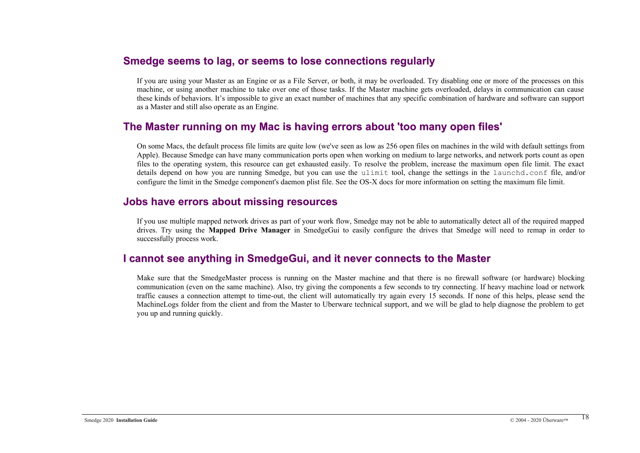#### **Smedge seems to lag, or seems to lose connections regularly**

If you are using your Master as an Engine or as a File Server, or both, it may be overloaded. Try disabling one or more of the processes on this machine, or using another machine to take over one of those tasks. If the Master machine gets overloaded, delays in communication can cause these kinds of behaviors. It's impossible to give an exact number of machines that any specific combination of hardware and software can support as a Master and still also operate as an Engine.

### **The Master running on my Mac is having errors about 'too many open files'**

On some Macs, the default process file limits are quite low (we've seen as low as 256 open files on machines in the wild with default settings from Apple). Because Smedge can have many communication ports open when working on medium to large networks, and network ports count as open files to the operating system, this resource can get exhausted easily. To resolve the problem, increase the maximum open file limit. The exact details depend on how you are running Smedge, but you can use the ulimit tool, change the settings in the launchd.conf file, and/or configure the limit in the Smedge component's daemon plist file. See the OS-X docs for more information on setting the maximum file limit.

#### **Jobs have errors about missing resources**

If you use multiple mapped network drives as part of your work flow, Smedge may not be able to automatically detect all of the required mapped drives. Try using the **Mapped Drive Manager** in SmedgeGui to easily configure the drives that Smedge will need to remap in order to successfully process work.

#### **I cannot see anything in SmedgeGui, and it never connects to the Master**

Make sure that the SmedgeMaster process is running on the Master machine and that there is no firewall software (or hardware) blocking communication (even on the same machine). Also, try giving the components a few seconds to try connecting. If heavy machine load or network traffic causes a connection attempt to time-out, the client will automatically try again every 15 seconds. If none of this helps, please send the MachineLogs folder from the client and from the Master to Uberware technical support, and we will be glad to help diagnose the problem to get you up and running quickly.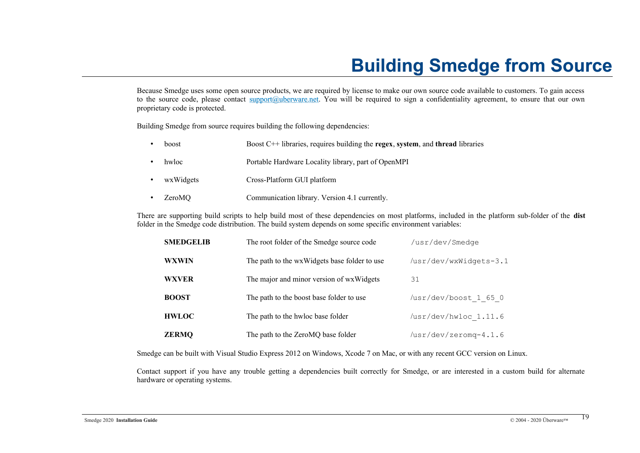# <span id="page-18-0"></span>**Building Smedge from Source**

Because Smedge uses some open source products, we are required by license to make our own source code available to customers. To gain access to the source code, please contact [support@uberware.net](mailto:support@uberware.net). You will be required to sign a confidentiality agreement, to ensure that our own proprietary code is protected.

Building Smedge from source requires building the following dependencies:

| boost     | Boost $C++$ libraries, requires building the regex, system, and thread libraries |
|-----------|----------------------------------------------------------------------------------|
| hwloc     | Portable Hardware Locality library, part of OpenMPI                              |
| wxWidgets | Cross-Platform GUI platform                                                      |
| ZeroMO    | Communication library. Version 4.1 currently.                                    |

There are supporting build scripts to help build most of these dependencies on most platforms, included in the platform sub-folder of the **dist** folder in the Smedge code distribution. The build system depends on some specific environment variables:

| <b>SMEDGELIB</b> | The root folder of the Smedge source code    | /usr/dev/Smedge               |
|------------------|----------------------------------------------|-------------------------------|
| <b>WXWIN</b>     | The path to the wxWidgets base folder to use | /usr/dev/wxWidgets-3.1        |
| <b>WXVER</b>     | The major and minor version of wxWidgets     | 31                            |
| <b>BOOST</b>     | The path to the boost base folder to use     | /usr/dev/boost 1 65 0         |
| <b>HWLOC</b>     | The path to the hwloc base folder            | /usr/dev/hwloc 1.11.6         |
| <b>ZERMQ</b>     | The path to the ZeroMQ base folder           | $\sqrt{usr/dev/zeromq-4.1.6}$ |

Smedge can be built with Visual Studio Express 2012 on Windows, Xcode 7 on Mac, or with any recent GCC version on Linux.

Contact support if you have any trouble getting a dependencies built correctly for Smedge, or are interested in a custom build for alternate hardware or operating systems.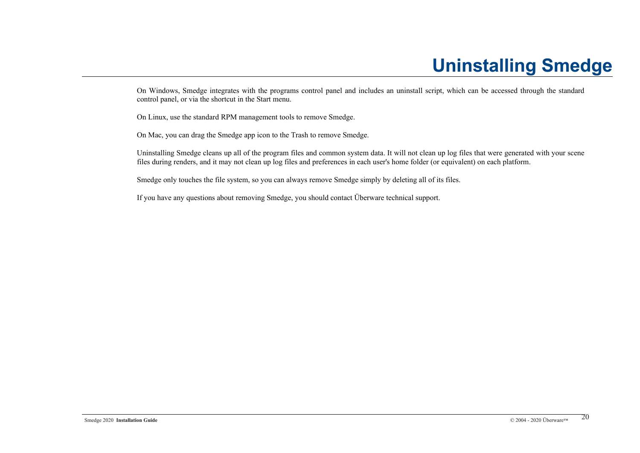# <span id="page-19-0"></span>**Uninstalling Smedge**

On Windows, Smedge integrates with the programs control panel and includes an uninstall script, which can be accessed through the standard control panel, or via the shortcut in the Start menu.

On Linux, use the standard RPM management tools to remove Smedge.

On Mac, you can drag the Smedge app icon to the Trash to remove Smedge.

Uninstalling Smedge cleans up all of the program files and common system data. It will not clean up log files that were generated with your scene files during renders, and it may not clean up log files and preferences in each user's home folder (or equivalent) on each platform.

Smedge only touches the file system, so you can always remove Smedge simply by deleting all of its files.

If you have any questions about removing Smedge, you should contact Überware technical support.